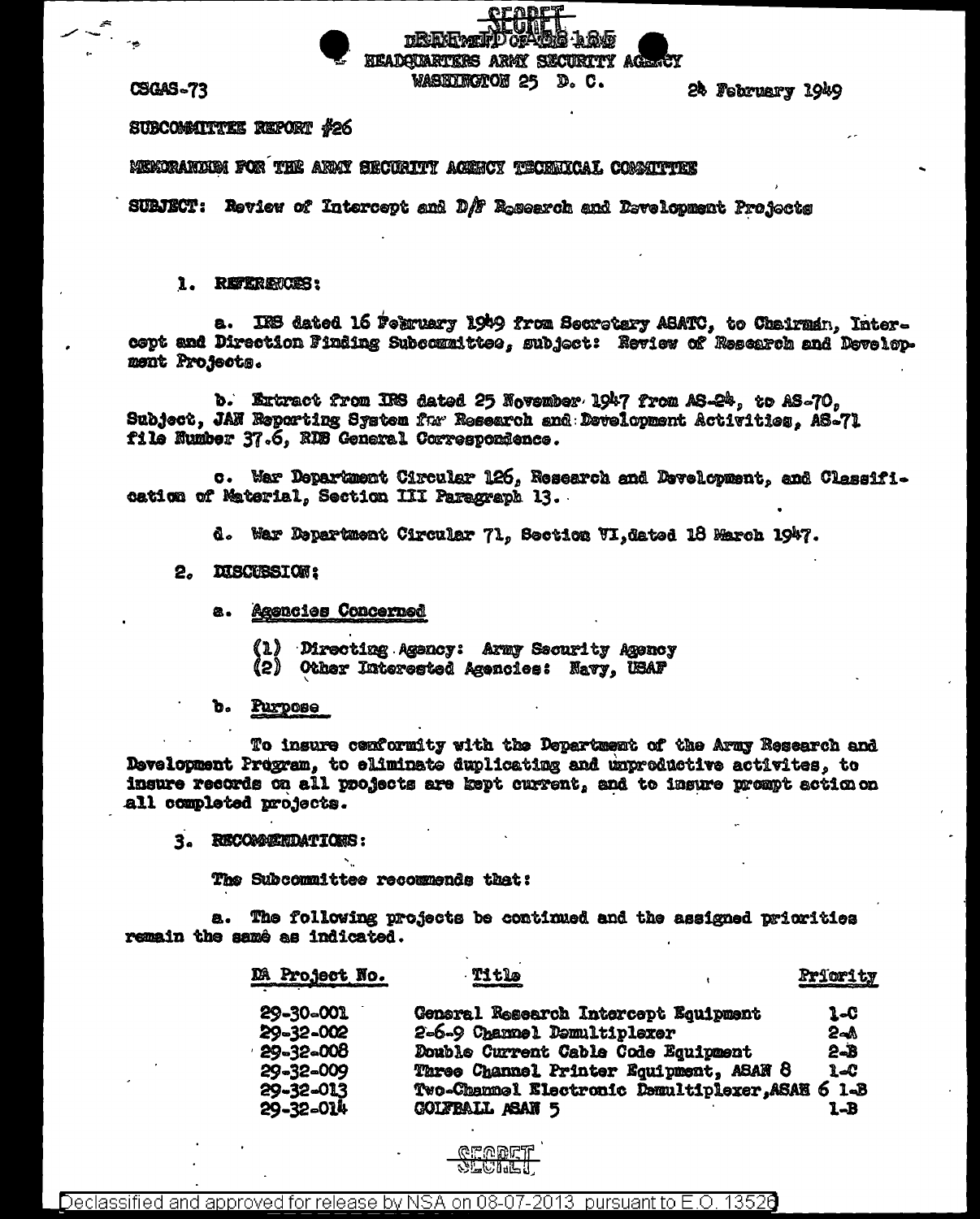HEADOUARTERS ARMY SECURITY AGE WASEDERGTON 25 D.C.

**ORAL SISTE** 

**CSGAS-73** 

24 February 1949

SUBCOMMITTEE REPORT #26

MEMORARDHM FOR THE ARMT SECURITY ACENCY TECRNICAI. CONSTTTER

SURJECT: Review of Intercept and D/F Research and Development Profects

**DRENTWOL** 

## 1. REFERENCES:

a. IRS dated 16 February 1949 from Secretary ASATC, to Chairman, Intercept and Direction Finding Subcommittee, subject: Review of Rescarch and Develop. ment Projects.

b. Extract from IFS dated 25 November 1947 from AS-24, to AS-70, Subject, JAN Reporting System for Research and Development Activities. AS-71 file Number 37.6. RDB General Correspondence.

c. Mar Department Circular 126, Research and Development, and Classification of Material, Section III Paragraph 13.

d. War Department Circular 71, Section VI, dated 18 March 1947.

## 2. DISCUSSION:

- a. Agencies Concerned
	- (1) Directing Agency: Army Security Agency (2) Other Interested Agencies: Navy, USAF
- b. Purpose

To insure conformity with the Department of the Army Research and Development Pregram, to eliminate duplicating and unproductive activites, to insure records on all projects are kept current, and to insure prompt action on all completed projects.

3. RECOMMENDATIONS:

The Subcommittee recommends that:

a. The following projects be continued and the assigned priorities remain the samé as indicated.

| DA Project No.   | . Title                                    | Priority |
|------------------|--------------------------------------------|----------|
| 29-30-001        | General Research Intercept Equipment       | 1-C      |
| 29-32-002        | 2-6-9 Channel Demultiplexer                | 2⊸∆      |
| $-29 - 32 - 008$ | Double Current Cable Code Equipment        | $2 - B$  |
| 29-32-009        | Three Channel Printer Equipment, ASAN 8    | 1.40     |
| 29-32-013        | Two-Channel Electronic Demultiplexer, ASAE | $61-3$   |
| 29-32-014        | <b>GOLFBALL ASAN 5</b>                     | 1-B      |